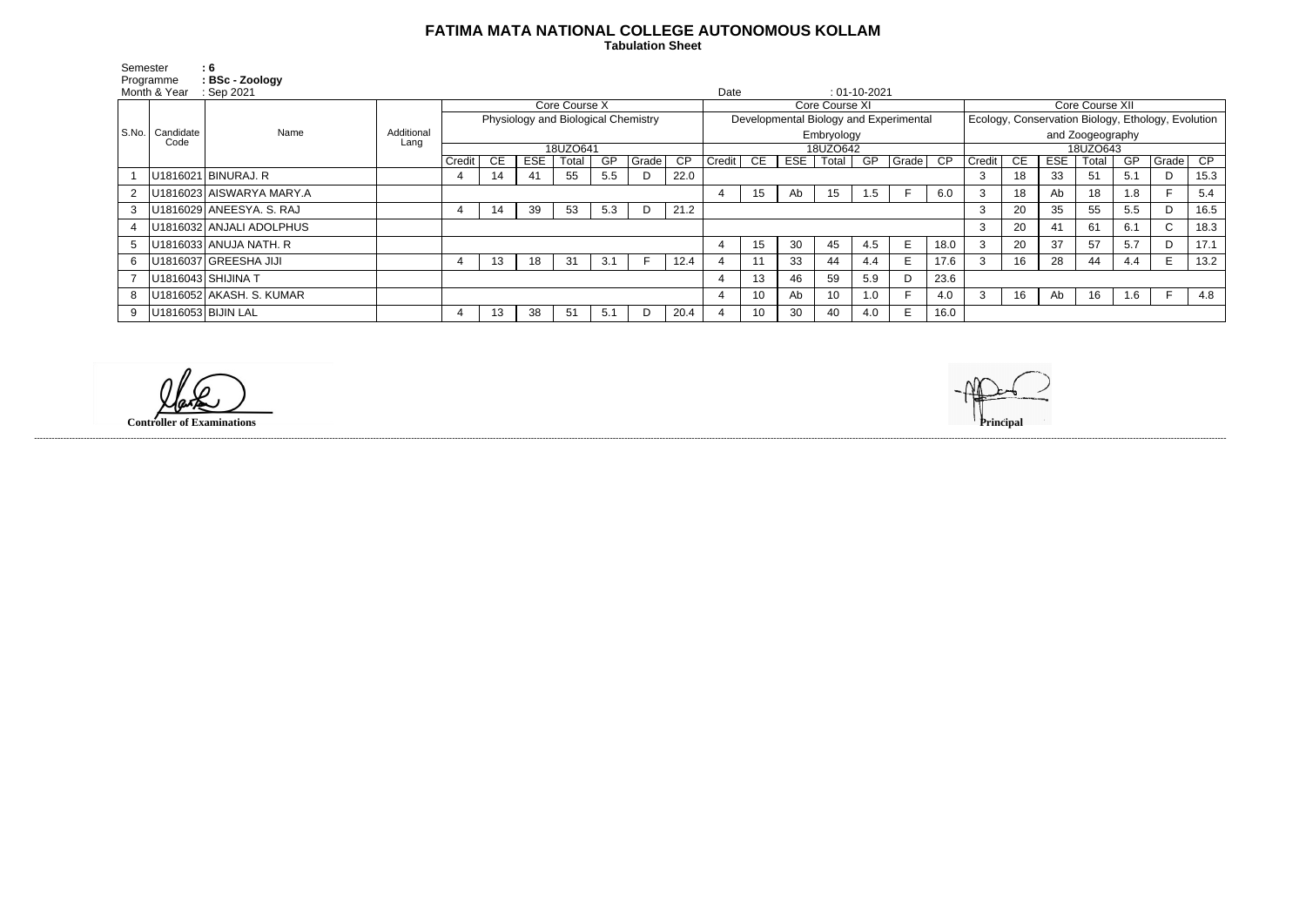## **FATIMA MATA NATIONAL COLLEGE AUTONOMOUS KOLLAM**

 **Tabulation Sheet** 

| Semester<br>Programme |                    | : 6<br>: BSc - Zoology   |                    |                                     |    |            |       |     |       |           |                                        |            |     |                |     |       |             |                                                    |                  |            |       |     |       |      |
|-----------------------|--------------------|--------------------------|--------------------|-------------------------------------|----|------------|-------|-----|-------|-----------|----------------------------------------|------------|-----|----------------|-----|-------|-------------|----------------------------------------------------|------------------|------------|-------|-----|-------|------|
| Month & Year          |                    | : Sep 2021               |                    |                                     |    |            |       |     |       | Date      |                                        |            |     | $: 01-10-2021$ |     |       |             |                                                    |                  |            |       |     |       |      |
| S.No.                 | Candidate<br>Code  | Name                     | Additional<br>Lang | Core Course X                       |    |            |       |     |       |           | Core Course XI                         |            |     |                |     |       |             | Core Course XII                                    |                  |            |       |     |       |      |
|                       |                    |                          |                    | Physiology and Biological Chemistry |    |            |       |     |       |           | Developmental Biology and Experimental |            |     |                |     |       |             | Ecology, Conservation Biology, Ethology, Evolution |                  |            |       |     |       |      |
|                       |                    |                          |                    |                                     |    |            |       |     |       |           |                                        | Embryology |     |                |     |       |             |                                                    | and Zoogeography |            |       |     |       |      |
|                       |                    |                          |                    | 18UZO641                            |    |            |       |     |       |           | 18UZO642                               |            |     |                |     |       |             | 18UZO643                                           |                  |            |       |     |       |      |
|                       |                    |                          |                    | Credit                              | CЕ | <b>ESE</b> | Total | GP  | Grade | <b>CP</b> | Credit                                 | <b>CE</b>  | ESE | Total          | GP  | Grade | - CP        | Credit                                             | CE.              | <b>ESE</b> | Total | GP  | Grade | CP   |
|                       |                    | U1816021 BINURAJ. R      |                    |                                     | 14 | 41         | 55    | 5.5 | D     | 22.0      |                                        |            |     |                |     |       |             | 3                                                  | 18               | 33         | 51    | 5.1 | D     | 15.3 |
|                       |                    | U1816023 AISWARYA MARY.A |                    |                                     |    |            |       |     |       |           |                                        | 15         | Ab  | 15             | 1.5 |       | 6.0         | 3                                                  | 18               | Ab         | 18    | 1.8 |       | 5.4  |
| 3                     |                    | U1816029 ANEESYA. S. RAJ |                    |                                     | 14 | 39         | 53    | 5.3 | D     | 21.2      |                                        |            |     |                |     |       |             | - 3                                                | 20               | 35         | 55    | 5.5 | D     | 16.5 |
|                       |                    | U1816032 ANJALI ADOLPHUS |                    |                                     |    |            |       |     |       |           |                                        | 3          | 20  | 41             | 61  | 6.1   | $\sim$<br>◡ | 18.3                                               |                  |            |       |     |       |      |
|                       |                    | U1816033 ANUJA NATH. R   |                    |                                     |    |            |       |     |       |           |                                        | 15         | 30  | 45             | 4.5 |       | 18.0        | 3                                                  | 20               | 37         | 57    | 5.7 | D     | 17.1 |
| 6.                    |                    | U1816037 GREESHA JIJI    |                    |                                     | 13 | 18         | 31    | 3.1 |       | 12.4      |                                        | 11         | 33  | 44             | 4.4 | E.    | 17.6        | 3                                                  | 16               | 28         | 44    | 4.4 |       | 13.2 |
|                       | U1816043 SHIJINA T |                          |                    |                                     |    |            |       |     |       |           | 13                                     | 46         | 59  | 5.9            | D   | 23.6  |             |                                                    |                  |            |       |     |       |      |
| 8                     |                    | U1816052 AKASH. S. KUMAR |                    |                                     |    |            |       |     |       |           |                                        | 10         | Ab  | 10             | 1.0 |       | 4.0         | 3                                                  | 16               | Ab         | 16    | 1.6 |       | 4.8  |
|                       | U1816053 BIJIN LAL |                          |                    |                                     |    | 38         | 51    | 5.1 | D     | 20.4      |                                        | 10         | 30  | 40             | 4.0 | E.    | 16.0        |                                                    |                  |            |       |     |       |      |

------------------------------------------------------------------------------------------------------------------------------------------------------------------------------------------------------------------------------------------------------------------------------------------------------------------------------------------------------------------------------------------------------------------------

**Controller of Examinations**